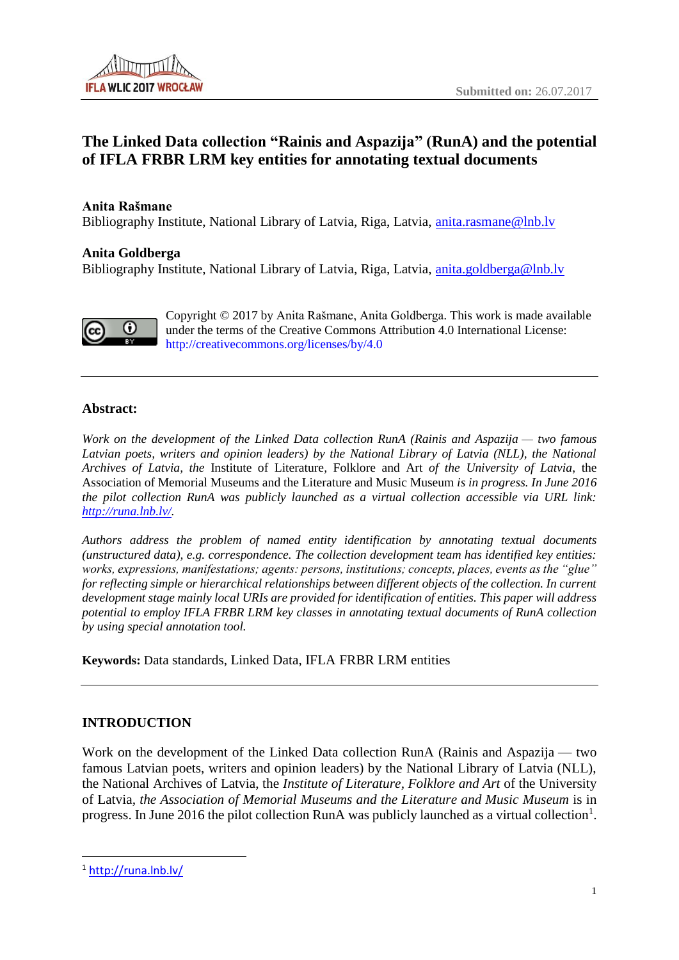# **The Linked Data collection "Rainis and Aspazija" (RunA) and the potential of IFLA FRBR LRM key entities for annotating textual documents**

#### **Anita Rašmane**

Bibliography Institute, National Library of Latvia, Riga, Latvia, [anita.rasmane@lnb.lv](mailto:anita.rasmane@lnb.lv)

#### **Anita Goldberga**

Bibliography Institute, National Library of Latvia, Riga, Latvia, [anita.goldberga@lnb.lv](mailto:anita.goldberga@lnb.lv)



Copyright © 2017 by Anita Rašmane, Anita Goldberga. This work is made available under the terms of the Creative Commons Attribution 4.0 International License: <http://creativecommons.org/licenses/by/4.0>

#### **Abstract:**

*Work on the development of the Linked Data collection RunA (Rainis and Aspazija — two famous Latvian poets, writers and opinion leaders) by the National Library of Latvia (NLL), the National Archives of Latvia, the* Institute of Literature*,* Folklore and Art *of the University of Latvia*, the Association of Memorial Museums and the Literature and Music Museum *is in progress. In June 2016 the pilot collection RunA was publicly launched as a virtual collection accessible via URL link: [http://runa.lnb.lv/.](http://runa.lnb.lv/)*

*Authors address the problem of named entity identification by annotating textual documents (unstructured data), e.g. correspondence. The collection development team has identified key entities: works, expressions, manifestations; agents: persons, institutions; concepts, places, events as the "glue" for reflecting simple or hierarchical relationships between different objects of the collection. In current development stage mainly local URIs are provided for identification of entities. This paper will address potential to employ IFLA FRBR LRM key classes in annotating textual documents of RunA collection by using special annotation tool.*

**Keywords:** Data standards, Linked Data, IFLA FRBR LRM entities

### **INTRODUCTION**

Work on the development of the Linked Data collection RunA (Rainis and Aspazija — two famous Latvian poets, writers and opinion leaders) by the National Library of Latvia (NLL), the National Archives of Latvia, the *Institute of Literature, Folklore and Art* of the University of Latvia*, the Association of Memorial Museums and the Literature and Music Museum* is in progress. In June 2016 the pilot collection RunA was publicly launched as a virtual collection<sup>1</sup>.

<sup>1</sup> <http://runa.lnb.lv/>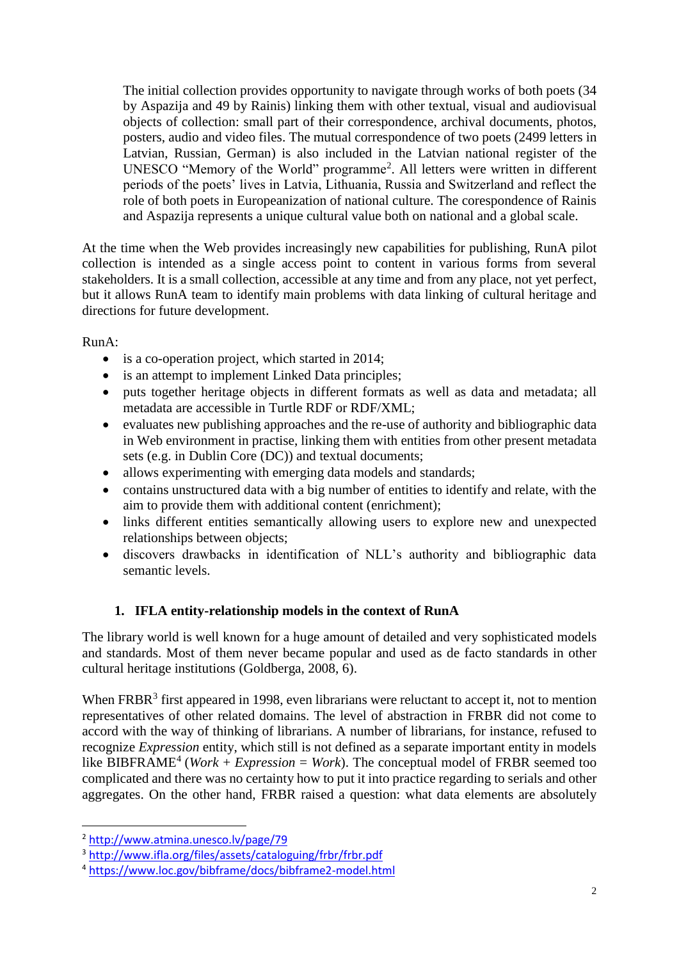The initial collection provides opportunity to navigate through works of both poets (34 by Aspazija and 49 by Rainis) linking them with other textual, visual and audiovisual objects of collection: small part of their correspondence, archival documents, photos, posters, audio and video files. The mutual correspondence of two poets (2499 letters in Latvian, Russian, German) is also included in the Latvian national register of the UNESCO "Memory of the World" programme<sup>2</sup> . All letters were written in different periods of the poets' lives in Latvia, Lithuania, Russia and Switzerland and reflect the role of both poets in Europeanization of national culture. The corespondence of Rainis and Aspazija represents a unique cultural value both on national and a global scale.

At the time when the Web provides increasingly new capabilities for publishing, RunA pilot collection is intended as a single access point to content in various forms from several stakeholders. It is a small collection, accessible at any time and from any place, not yet perfect, but it allows RunA team to identify main problems with data linking of cultural heritage and directions for future development.

RunA:

- is a co-operation project, which started in 2014;
- is an attempt to implement Linked Data principles;
- puts together heritage objects in different formats as well as data and metadata; all metadata are accessible in Turtle RDF or RDF/XML;
- evaluates new publishing approaches and the re-use of authority and bibliographic data in Web environment in practise, linking them with entities from other present metadata sets (e.g. in Dublin Core (DC)) and textual documents;
- allows experimenting with emerging data models and standards:
- contains unstructured data with a big number of entities to identify and relate, with the aim to provide them with additional content (enrichment);
- links different entities semantically allowing users to explore new and unexpected relationships between objects;
- discovers drawbacks in identification of NLL's authority and bibliographic data semantic levels.

## **1. IFLA entity-relationship models in the context of RunA**

The library world is well known for a huge amount of detailed and very sophisticated models and standards. Most of them never became popular and used as de facto standards in other cultural heritage institutions (Goldberga, 2008, 6).

When  $FRBR<sup>3</sup>$  first appeared in 1998, even librarians were reluctant to accept it, not to mention representatives of other related domains. The level of abstraction in FRBR did not come to accord with the way of thinking of librarians. A number of librarians, for instance, refused to recognize *Expression* entity, which still is not defined as a separate important entity in models like BIBFRAME<sup>4</sup> (*Work + Expression = Work*). The conceptual model of FRBR seemed too complicated and there was no certainty how to put it into practice regarding to serials and other aggregates. On the other hand, FRBR raised a question: what data elements are absolutely

<sup>2</sup> <http://www.atmina.unesco.lv/page/79>

<sup>3</sup> <http://www.ifla.org/files/assets/cataloguing/frbr/frbr.pdf>

<sup>4</sup> <https://www.loc.gov/bibframe/docs/bibframe2-model.html>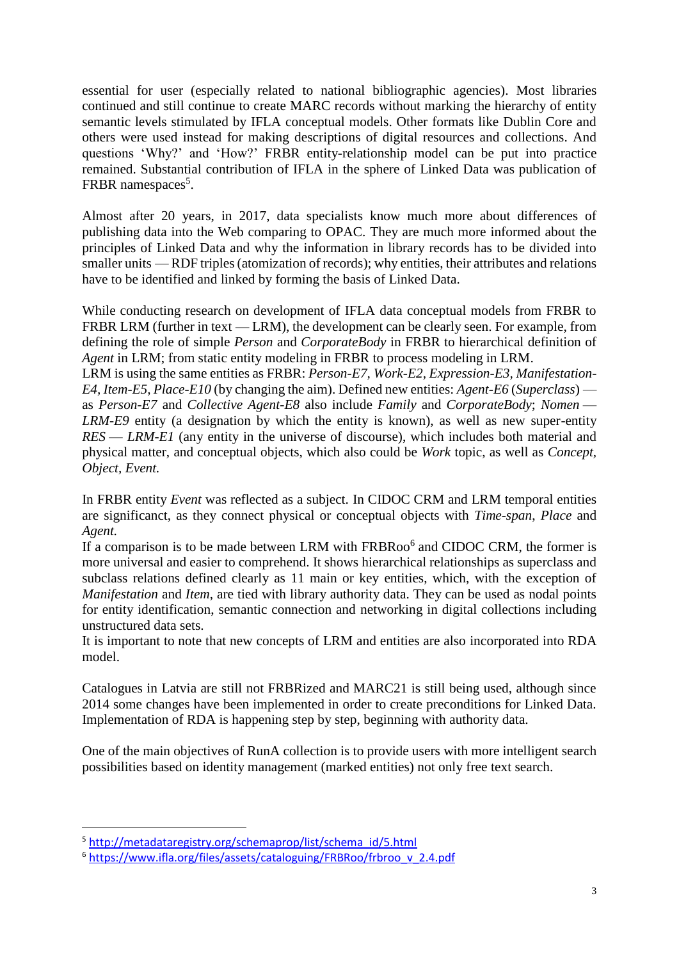essential for user (especially related to national bibliographic agencies). Most libraries continued and still continue to create MARC records without marking the hierarchy of entity semantic levels stimulated by IFLA conceptual models. Other formats like Dublin Core and others were used instead for making descriptions of digital resources and collections. And questions 'Why?' and 'How?' FRBR entity-relationship model can be put into practice remained. Substantial contribution of IFLA in the sphere of Linked Data was publication of FRBR namespaces<sup>5</sup>.

Almost after 20 years, in 2017, data specialists know much more about differences of publishing data into the Web comparing to OPAC. They are much more informed about the principles of Linked Data and why the information in library records has to be divided into smaller units — RDF triples (atomization of records); why entities, their attributes and relations have to be identified and linked by forming the basis of Linked Data.

While conducting research on development of IFLA data conceptual models from FRBR to FRBR LRM (further in text — LRM), the development can be clearly seen. For example, from defining the role of simple *Person* and *CorporateBody* in FRBR to hierarchical definition of *Agent* in LRM; from static entity modeling in FRBR to process modeling in LRM.

LRM is using the same entities as FRBR: *Person-E7, Work-E2, Expression-E3, Manifestation-E4, Item-E5, Place-E10* (by changing the aim). Defined new entities: *Agent-E6* (*Superclass*) as *Person-E7* and *Collective Agent-E8* also include *Family* and *CorporateBody*; *Nomen* — *LRM-E9* entity (a designation by which the entity is known), as well as new super-entity *RES* — *LRM-E1* (any entity in the universe of discourse), which includes both material and physical matter, and conceptual objects, which also could be *Work* topic, as well as *Concept, Object, Event.*

In FRBR entity *Event* was reflected as a subject. In CIDOC CRM and LRM temporal entities are significanct, as they connect physical or conceptual objects with *Time-span*, *Place* and *Agent.*

If a comparison is to be made between LRM with FRBRoo<sup>6</sup> and CIDOC CRM, the former is more universal and easier to comprehend. It shows hierarchical relationships as superclass and subclass relations defined clearly as 11 main or key entities, which, with the exception of *Manifestation* and *Item*, are tied with library authority data. They can be used as nodal points for entity identification, semantic connection and networking in digital collections including unstructured data sets.

It is important to note that new concepts of LRM and entities are also incorporated into RDA model.

Catalogues in Latvia are still not FRBRized and MARC21 is still being used, although since 2014 some changes have been implemented in order to create preconditions for Linked Data. Implementation of RDA is happening step by step, beginning with authority data.

One of the main objectives of RunA collection is to provide users with more intelligent search possibilities based on identity management (marked entities) not only free text search.

<sup>5</sup> [http://metadataregistry.org/schemaprop/list/schema\\_id/5.html](http://metadataregistry.org/schemaprop/list/schema_id/5.html)

<sup>6</sup> [https://www.ifla.org/files/assets/cataloguing/FRBRoo/frbroo\\_v\\_2.4.pdf](https://www.ifla.org/files/assets/cataloguing/FRBRoo/frbroo_v_2.4.pdf)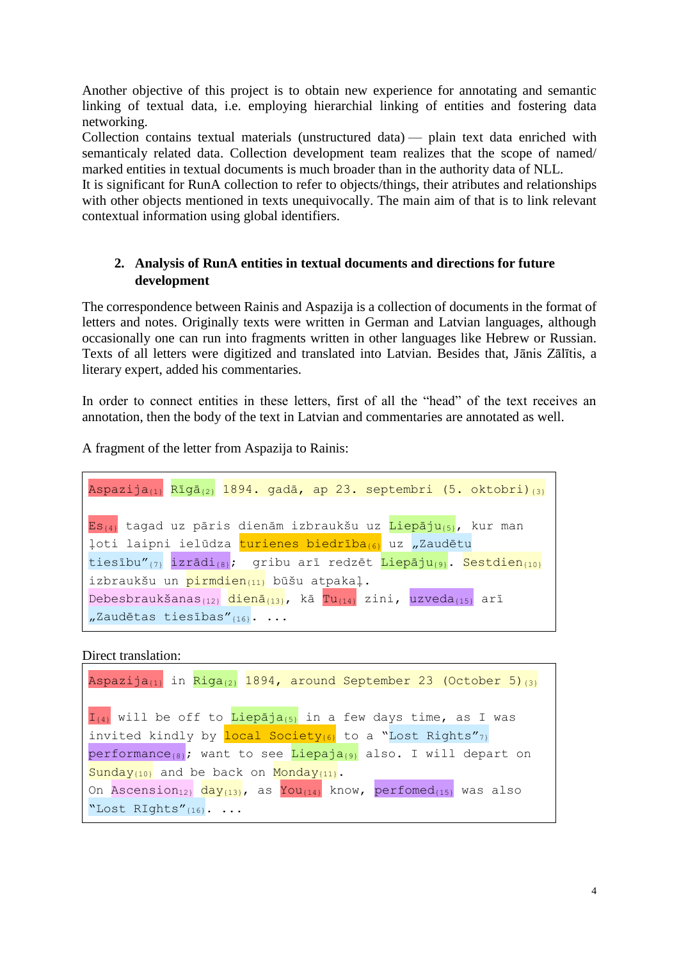Another objective of this project is to obtain new experience for annotating and semantic linking of textual data, i.e. employing hierarchial linking of entities and fostering data networking.

Collection contains textual materials (unstructured data) — plain text data enriched with semanticaly related data. Collection development team realizes that the scope of named/ marked entities in textual documents is much broader than in the authority data of NLL.

It is significant for RunA collection to refer to objects/things, their atributes and relationships with other objects mentioned in texts unequivocally. The main aim of that is to link relevant contextual information using global identifiers.

## **2. Analysis of RunA entities in textual documents and directions for future development**

The correspondence between Rainis and Aspazija is a collection of documents in the format of letters and notes. Originally texts were written in German and Latvian languages, although occasionally one can run into fragments written in other languages like Hebrew or Russian. Texts of all letters were digitized and translated into Latvian. Besides that, Jānis Zālītis, a literary expert, added his commentaries.

In order to connect entities in these letters, first of all the "head" of the text receives an annotation, then the body of the text in Latvian and commentaries are annotated as well.

A fragment of the letter from Aspazija to Rainis:

```
Aspazija_{\{1\}} Rīgā_{\{2\}} 1894. gadā, ap 23. septembri (5. oktobri)_{\{3\}}Es<sub>{4}</sub> tagad uz pāris dienām izbraukšu uz Liepāju<sub>{5}</sub>, kur man
loti laipni ielūdza turienes biedrība(6) uz "Zaudētu
tiesību"_{\{7\}} izrādi_{\{8\}}; gribu arī redzēt Liepāju_{\{9\}}. Sestdien_{\{10\}}izbraukšu un pirmdien<sub>{11}</sub> būšu atpakaļ.
Debesbraukšanas_{\{12\}} dienā_{\{13\}}, kā Tu_{\{14\}} zini, uzveda_{\{15\}} arī
n^2Zaudētas tiesības"\{16\}. ...
```
Direct translation:

```
Aspazija_{(1)} in Riga_{(2)} 1894, around September 23 (October 5)_{(3)}I_{\{4\}} will be off to Liepaja<sub>{5}</sub> in a few days time, as I was
invited kindly by \frac{local\ Society_{(6)}}{1} to a "Lost Rights"<sub>7}</sub>
performance<sub>{8}</sub>; want to see Liepaja<sub>{9}</sub> also. I will depart on
\frac{Sunday_{\{10\}}}{Sunday_{\{11\}}} and be back on Monday<sub>{11}</sub>.
On Ascension<sub>12}</sub> day_{\{13\}}, as You<sub>{14}</sub> know, perfomed<sub>{15}</sub> was also
"Lost RIghts"{16}. ...
```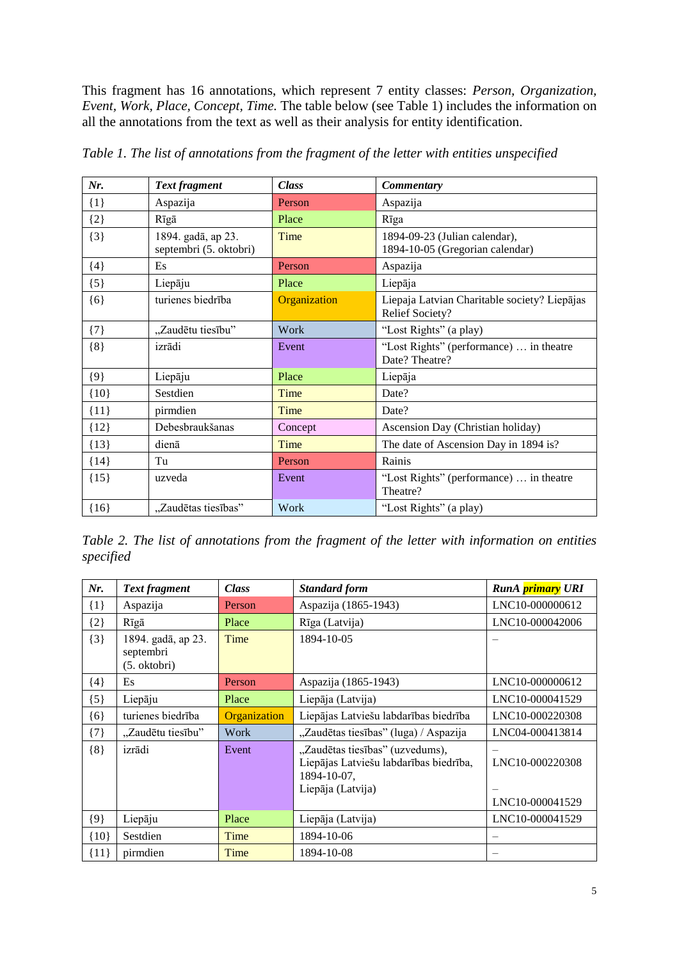This fragment has 16 annotations, which represent 7 entity classes: *Person, Organization, Event, Work, Place, Concept, Time.* The table below (see Table 1) includes the information on all the annotations from the text as well as their analysis for entity identification.

| Nr.     | <b>Text fragment</b>                         | <b>Class</b> | <b>Commentary</b>                                                |  |
|---------|----------------------------------------------|--------------|------------------------------------------------------------------|--|
| $\{1\}$ | Aspazija                                     | Person       | Aspazija                                                         |  |
| $\{2\}$ | Rīgā                                         | Place        | Rīga                                                             |  |
| ${3}$   | 1894. gadā, ap 23.<br>septembri (5. oktobri) | Time         | 1894-09-23 (Julian calendar),<br>1894-10-05 (Gregorian calendar) |  |
| ${4}$   | Es                                           | Person       | Aspazija                                                         |  |
| ${5}$   | Liepāju                                      | Place        | Liepāja                                                          |  |
| ${6}$   | turienes biedrība                            | Organization | Liepaja Latvian Charitable society? Liepājas<br>Relief Society?  |  |
| $\{7\}$ | "Zaudētu tiesību"                            | Work         | "Lost Rights" (a play)                                           |  |
| ${8}$   | izrādi                                       | Event        | "Lost Rights" (performance)  in theatre<br>Date? Theatre?        |  |
| ${9}$   | Liepāju                                      | Place        | Liepāja                                                          |  |
| ${10}$  | Sestdien                                     | Time         | Date?                                                            |  |
| ${11}$  | pirmdien                                     | Time         | Date?                                                            |  |
| ${12}$  | Debesbraukšanas                              | Concept      | Ascension Day (Christian holiday)                                |  |
| ${13}$  | dienā                                        | Time         | The date of Ascension Day in 1894 is?                            |  |
| ${14}$  | Tu                                           | Person       | Rainis                                                           |  |
| ${15}$  | uzveda                                       | Event        | "Lost Rights" (performance)  in theatre<br>Theatre?              |  |
| ${16}$  | "Zaudētas tiesības"                          | Work         | "Lost Rights" (a play)                                           |  |

*Table 1. The list of annotations from the fragment of the letter with entities unspecified*

*Table 2. The list of annotations from the fragment of the letter with information on entities specified*

| Nr.     | <b>Text fragment</b>                            | <b>Class</b> | <b>Standard form</b>                                                                                          | RunA primary URI                   |
|---------|-------------------------------------------------|--------------|---------------------------------------------------------------------------------------------------------------|------------------------------------|
| $\{1\}$ | Aspazija                                        | Person       | Aspazija (1865-1943)                                                                                          | LNC10-000000612                    |
| ${2}$   | Rīgā                                            | Place        | Rīga (Latvija)                                                                                                | LNC10-000042006                    |
| ${3}$   | 1894. gadā, ap 23.<br>septembri<br>(5. oktobri) | Time         | 1894-10-05                                                                                                    |                                    |
| ${4}$   | Es                                              | Person       | Aspazija (1865-1943)                                                                                          | LNC10-000000612                    |
| $\{5\}$ | Liepāju                                         | Place        | Liepāja (Latvija)                                                                                             | LNC10-000041529                    |
| ${6}$   | turienes biedrība                               | Organization | Liepājas Latviešu labdarības biedrība                                                                         | LNC10-000220308                    |
| ${7}$   | "Zaudētu tiesību"                               | Work         | "Zaudētas tiesības" (luga) / Aspazija                                                                         | LNC04-000413814                    |
| ${8}$   | izrādi                                          | Event        | "Zaudētas tiesības" (uzvedums),<br>Liepājas Latviešu labdarības biedrība,<br>1894-10-07,<br>Liepāja (Latvija) | LNC10-000220308<br>LNC10-000041529 |
| ${9}$   | Liepāju                                         | Place        | Liepāja (Latvija)                                                                                             | LNC10-000041529                    |
| ${10}$  | Sestdien                                        | Time         | 1894-10-06                                                                                                    |                                    |
| ${11}$  | pirmdien                                        | Time         | 1894-10-08                                                                                                    |                                    |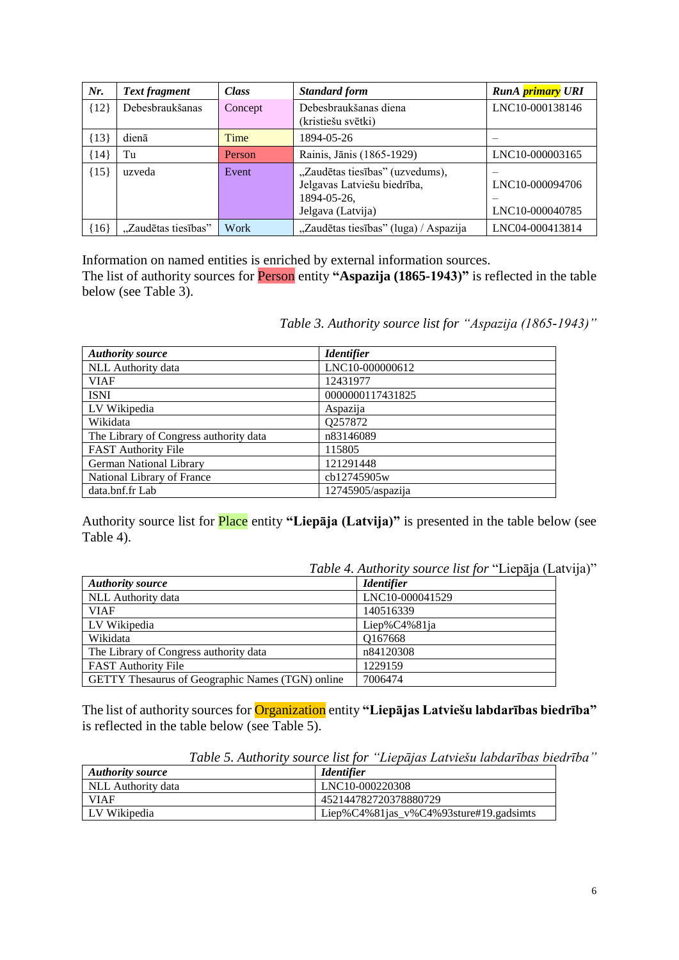| Nr.    | <b>Text fragment</b> | <b>Class</b> | <b>Standard form</b>                                                                               | RunA primary URI                   |
|--------|----------------------|--------------|----------------------------------------------------------------------------------------------------|------------------------------------|
| ${12}$ | Debesbraukšanas      | Concept      | Debesbraukšanas diena<br>(kristiešu svētki)                                                        | LNC10-000138146                    |
| ${13}$ | dienā                | Time         | 1894-05-26                                                                                         |                                    |
| ${14}$ | Tu                   | Person       | Rainis, Jānis (1865-1929)                                                                          | LNC10-000003165                    |
| ${15}$ | uzveda               | Event        | "Zaudētas tiesības" (uzvedums),<br>Jelgavas Latviešu biedrība,<br>1894-05-26,<br>Jelgava (Latvija) | LNC10-000094706<br>LNC10-000040785 |
| ${16}$ | "Zaudētas tiesības"  | Work         | "Zaudētas tiesības" (luga) / Aspazija                                                              | LNC04-000413814                    |

Information on named entities is enriched by external information sources. The list of authority sources for Person entity **"Aspazija (1865-1943)"** is reflected in the table below (see Table 3).

| <b>Authority source</b>                | <b>Identifier</b>    |
|----------------------------------------|----------------------|
| NLL Authority data                     | LNC10-000000612      |
| <b>VIAF</b>                            | 12431977             |
| <b>ISNI</b>                            | 0000000117431825     |
| LV Wikipedia                           | Aspazija             |
| Wikidata                               | Q257872              |
| The Library of Congress authority data | n83146089            |
| <b>FAST Authority File</b>             | 115805               |
| German National Library                | 121291448            |
| National Library of France             | cb12745905w          |
| data.bnf.fr Lab                        | $12745905/a$ spazija |

*Table 3. Authority source list for "Aspazija (1865-1943)"*

Authority source list for Place entity **"Liepāja (Latvija)"** is presented in the table below (see Table 4).

*Table 4. Authority source list for* "Liepāja (Latvija)"

| <b>Authority source</b>                          | <b>Identifier</b> |
|--------------------------------------------------|-------------------|
| NLL Authority data                               | LNC10-000041529   |
| <b>VIAF</b>                                      | 140516339         |
| LV Wikipedia                                     | Liep% $C4\%81$ ja |
| Wikidata                                         | 0167668           |
| The Library of Congress authority data           | n84120308         |
| <b>FAST Authority File</b>                       | 1229159           |
| GETTY Thesaurus of Geographic Names (TGN) online | 7006474           |

The list of authority sources for Organization entity **"Liepājas Latviešu labdarības biedrība"** is reflected in the table below (see Table 5).

*Table 5. Authority source list for "Liepājas Latviešu labdarības biedrība"*

| Authority source   | <i><u><b>Identifier</b></u></i>        |
|--------------------|----------------------------------------|
| NLL Authority data | LNC10-000220308                        |
| <b>VIAF</b>        | 452144782720378880729                  |
| LV Wikipedia       | Liep%C4%81jas_v%C4%93sture#19.gadsimts |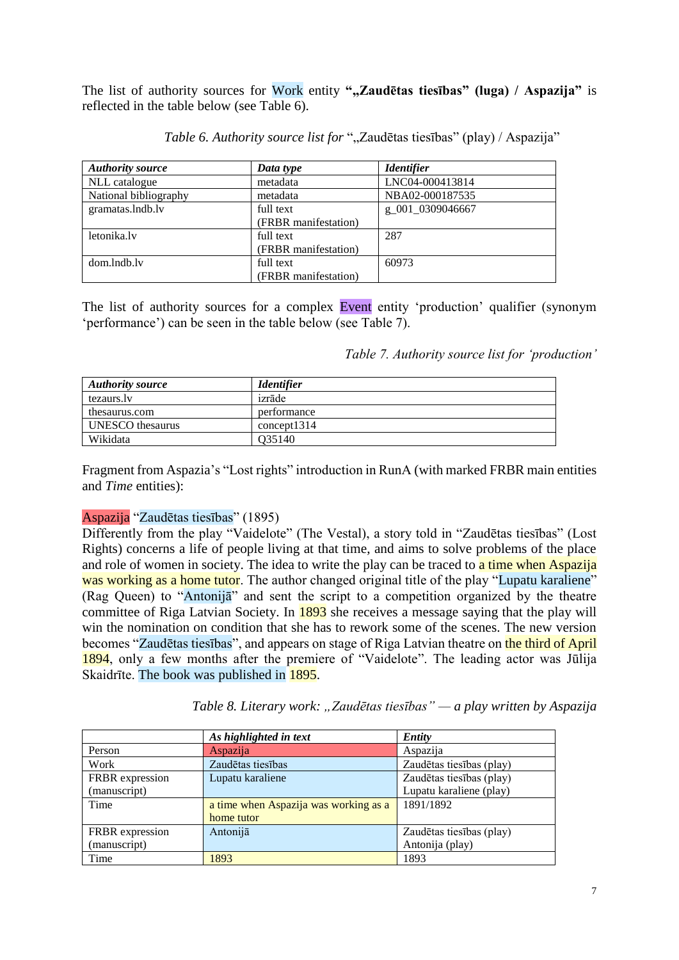The list of authority sources for Work entity ",Zaudētas tiesības" (luga) / Aspazija" is reflected in the table below (see Table 6).

| <b>Authority source</b> | Data type            | <b>Identifier</b> |
|-------------------------|----------------------|-------------------|
| NLL catalogue           | metadata             | LNC04-000413814   |
| National bibliography   | metadata             | NBA02-000187535   |
| gramatas.lndb.lv        | full text            | g_001_0309046667  |
|                         | (FRBR manifestation) |                   |
| letonika.lv             | full text            | 287               |
|                         | (FRBR manifestation) |                   |
| dom.lndb.lv             | full text            | 60973             |
|                         | (FRBR manifestation) |                   |

*Table 6. Authority source list for* ",,Zaudētas tiesības" (play) / Aspazija"

The list of authority sources for a complex Event entity 'production' qualifier (synonym 'performance') can be seen in the table below (see Table 7).

*Table 7. Authority source list for 'production'* 

| <b>Authority source</b> | <b>Identifier</b> |
|-------------------------|-------------------|
| tezaurs.lv              | izrāde            |
| thesaurus.com           | performance       |
| UNESCO thesaurus        | concept 1314      |
| Wikidata                | O35140            |

Fragment from Aspazia's "Lost rights" introduction in RunA (with marked FRBR main entities and *Time* entities):

#### Aspazija "Zaudētas tiesības" (1895)

Differently from the play "Vaidelote" (The Vestal), a story told in "Zaudētas tiesības" (Lost Rights) concerns a life of people living at that time, and aims to solve problems of the place and role of women in society. The idea to write the play can be traced to a time when Aspazija was working as a home tutor. The author changed original title of the play "Lupatu karaliene" (Rag Queen) to "Antonijā" and sent the script to a competition organized by the theatre committee of Riga Latvian Society. In 1893 she receives a message saying that the play will win the nomination on condition that she has to rework some of the scenes. The new version becomes "Zaudētas tiesības", and appears on stage of Riga Latvian theatre on the third of April 1894, only a few months after the premiere of "Vaidelote". The leading actor was Jūlija Skaidrīte. The book was published in 1895.

| Table 8. Literary work: "Zaudētas tiesības" — a play written by Aspazija |  |  |
|--------------------------------------------------------------------------|--|--|
|--------------------------------------------------------------------------|--|--|

|                 | As highlighted in text                | Entity                   |
|-----------------|---------------------------------------|--------------------------|
| Person          | Aspazija                              | Aspazija                 |
| Work            | Zaudētas tiesības                     | Zaudētas tiesības (play) |
| FRBR expression | Lupatu karaliene                      | Zaudētas tiesības (play) |
| (manuscript)    |                                       | Lupatu karaliene (play)  |
| Time            | a time when Aspazija was working as a | 1891/1892                |
|                 | home tutor                            |                          |
| FRBR expression | Antonijā                              | Zaudētas tiesības (play) |
| (manuscript)    |                                       | Antonija (play)          |
| Time            | 1893                                  | 1893                     |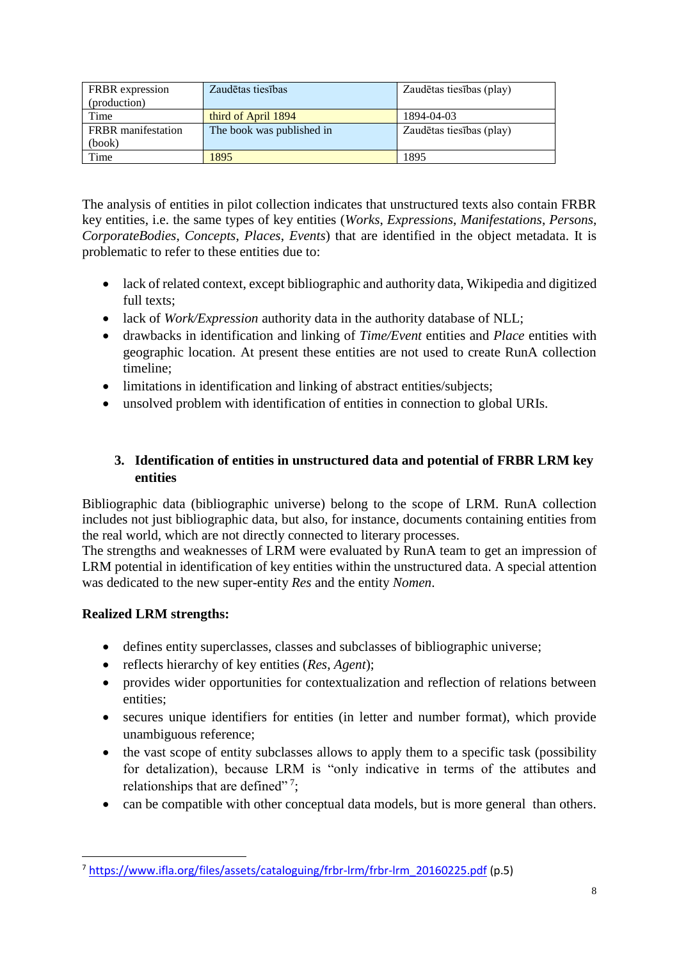| <b>FRBR</b> expression<br>(production) | Zaudētas tiesības         | Zaudētas tiesības (play) |  |
|----------------------------------------|---------------------------|--------------------------|--|
| Time                                   | third of April 1894       | 1894-04-03               |  |
| <b>FRBR</b> manifestation              | The book was published in | Zaudētas tiesības (play) |  |
| (book)                                 |                           |                          |  |
| Time                                   | 1895                      | 1895                     |  |

The analysis of entities in pilot collection indicates that unstructured texts also contain FRBR key entities, i.e. the same types of key entities (*Works*, *Expressions*, *Manifestations*, *Persons*, *CorporateBodies*, *Concepts*, *Places*, *Events*) that are identified in the object metadata. It is problematic to refer to these entities due to:

- lack of related context, except bibliographic and authority data, Wikipedia and digitized full texts;
- lack of *Work/Expression* authority data in the authority database of NLL;
- drawbacks in identification and linking of *Time/Event* entities and *Place* entities with geographic location. At present these entities are not used to create RunA collection timeline;
- limitations in identification and linking of abstract entities/subjects;
- unsolved problem with identification of entities in connection to global URIs.

## **3. Identification of entities in unstructured data and potential of FRBR LRM key entities**

Bibliographic data (bibliographic universe) belong to the scope of LRM. RunA collection includes not just bibliographic data, but also, for instance, documents containing entities from the real world, which are not directly connected to literary processes.

The strengths and weaknesses of LRM were evaluated by RunA team to get an impression of LRM potential in identification of key entities within the unstructured data. A special attention was dedicated to the new super-entity *Res* and the entity *Nomen*.

## **Realized LRM strengths:**

- defines entity superclasses, classes and subclasses of bibliographic universe;
- reflects hierarchy of key entities (*Res*, *Agent*);
- provides wider opportunities for contextualization and reflection of relations between entities;
- secures unique identifiers for entities (in letter and number format), which provide unambiguous reference;
- the vast scope of entity subclasses allows to apply them to a specific task (possibility for detalization), because LRM is "only indicative in terms of the attibutes and relationships that are defined"?;
- can be compatible with other conceptual data models, but is more general than others.

<sup>7</sup> [https://www.ifla.org/files/assets/cataloguing/frbr-lrm/frbr-lrm\\_20160225.pdf](https://www.ifla.org/files/assets/cataloguing/frbr-lrm/frbr-lrm_20160225.pdf) (p.5)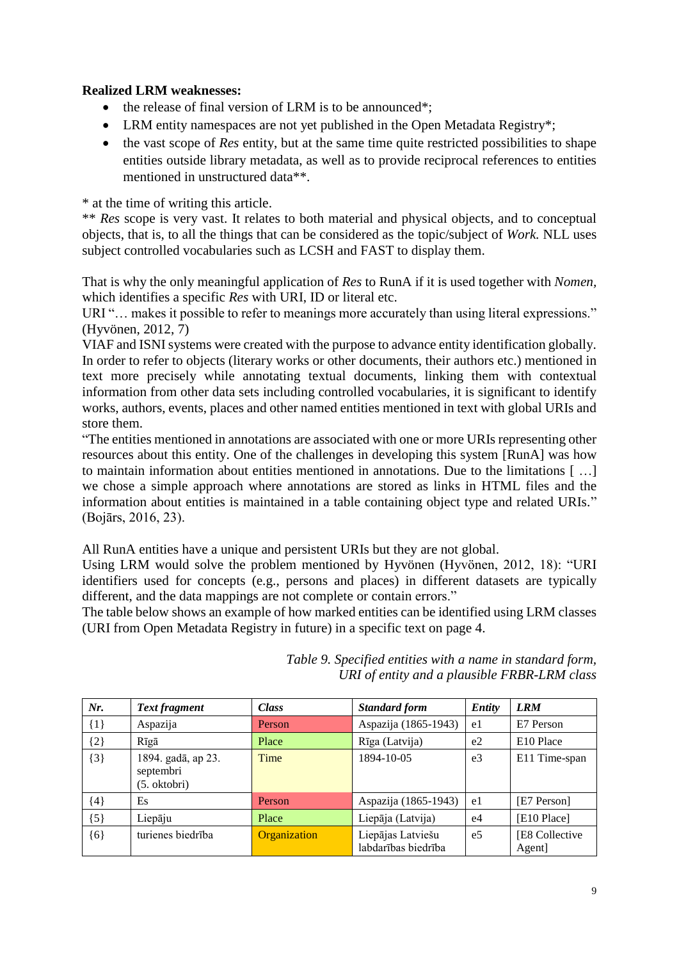## **Realized LRM weaknesses:**

- the release of final version of LRM is to be announced\*;
- LRM entity namespaces are not yet published in the Open Metadata Registry\*;
- the vast scope of *Res* entity, but at the same time quite restricted possibilities to shape entities outside library metadata, as well as to provide reciprocal references to entities mentioned in unstructured data\*\*.

\* at the time of writing this article.

\*\* *Res* scope is very vast. It relates to both material and physical objects, and to conceptual objects, that is, to all the things that can be considered as the topic/subject of *Work.* NLL uses subject controlled vocabularies such as LCSH and FAST to display them.

That is why the only meaningful application of *Res* to RunA if it is used together with *Nomen,*  which identifies a specific *Res* with URI, ID or literal etc.

URI "... makes it possible to refer to meanings more accurately than using literal expressions." (Hyvönen, 2012, 7)

VIAF and ISNI systems were created with the purpose to advance entity identification globally. In order to refer to objects (literary works or other documents, their authors etc.) mentioned in text more precisely while annotating textual documents, linking them with contextual information from other data sets including controlled vocabularies, it is significant to identify works, authors, events, places and other named entities mentioned in text with global URIs and store them.

"The entities mentioned in annotations are associated with one or more URIs representing other resources about this entity. One of the challenges in developing this system [RunA] was how to maintain information about entities mentioned in annotations. Due to the limitations [...] we chose a simple approach where annotations are stored as links in HTML files and the information about entities is maintained in a table containing object type and related URIs." (Bojārs, 2016, 23).

All RunA entities have a unique and persistent URIs but they are not global.

Using LRM would solve the problem mentioned by Hyvönen (Hyvönen, 2012, 18): "URI identifiers used for concepts (e.g., persons and places) in different datasets are typically different, and the data mappings are not complete or contain errors."

The table below shows an example of how marked entities can be identified using LRM classes (URI from Open Metadata Registry in future) in a specific text on page 4.

| Nr.     | Text fragment                                   | <b>Class</b> | <b>Standard form</b>                     | <b>Entity</b>  | <b>LRM</b>               |
|---------|-------------------------------------------------|--------------|------------------------------------------|----------------|--------------------------|
| $\{1\}$ | Aspazija                                        | Person       | Aspazija (1865-1943)                     | e1             | E7 Person                |
| ${2}$   | Rīgā                                            | Place        | Rīga (Latvija)                           | e <sub>2</sub> | E <sub>10</sub> Place    |
| $\{3\}$ | 1894. gadā, ap 23.<br>septembri<br>(5. oktobri) | Time         | 1894-10-05                               | e <sub>3</sub> | E11 Time-span            |
| ${4}$   | Es                                              | Person       | Aspazija (1865-1943)                     | e1             | [E7 Person]              |
| ${5}$   | Liepāju                                         | Place        | Liepāja (Latvija)                        | e <sub>4</sub> | [E10 Place]              |
| ${6}$   | turienes biedrība                               | Organization | Liepājas Latviešu<br>labdarības biedrība | e <sub>5</sub> | [E8 Collective<br>Agent] |

*Table 9. Specified entities with a name in standard form, URI of entity and a plausible FRBR-LRM class*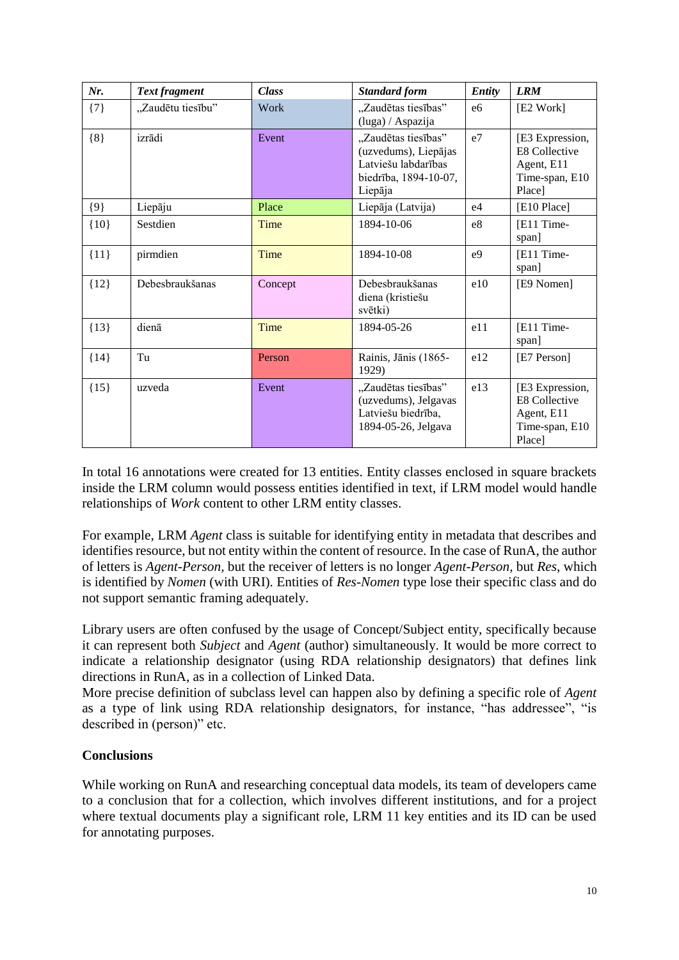| Nr.     | Text fragment     | <b>Class</b> | <b>Standard form</b>                                                                                   | <b>Entity</b>  | <b>LRM</b>                                                                        |
|---------|-------------------|--------------|--------------------------------------------------------------------------------------------------------|----------------|-----------------------------------------------------------------------------------|
| $\{7\}$ | "Zaudētu tiesību" | Work         | "Zaudētas tiesības"<br>(luga) / Aspazija                                                               | e <sub>6</sub> | [E2 Work]                                                                         |
| ${8}$   | izrādi            | Event        | "Zaudētas tiesības"<br>(uzvedums), Liepājas<br>Latviešu labdarības<br>biedrība, 1894-10-07,<br>Liepāja | e <sub>7</sub> | [E3 Expression,<br><b>E8 Collective</b><br>Agent, E11<br>Time-span, E10<br>Place] |
| ${9}$   | Liepāju           | Place        | Liepāja (Latvija)                                                                                      | e <sub>4</sub> | [E10 Place]                                                                       |
| ${10}$  | Sestdien          | Time         | 1894-10-06                                                                                             | e8             | [E11 Time-<br>span]                                                               |
| ${11}$  | pirmdien          | Time         | 1894-10-08                                                                                             | e <sub>9</sub> | [E11 Time-<br>span]                                                               |
| ${12}$  | Debesbraukšanas   | Concept      | Debesbraukšanas<br>diena (kristiešu<br>svētki)                                                         | e10            | [E9 Nomen]                                                                        |
| ${13}$  | dienā             | Time         | 1894-05-26                                                                                             | e11            | [E11 Time-<br>span]                                                               |
| ${14}$  | Tu                | Person       | Rainis, Jānis (1865-<br>1929)                                                                          | e12            | [E7 Person]                                                                       |
| ${15}$  | uzveda            | Event        | "Zaudētas tiesības"<br>(uzvedums), Jelgavas<br>Latviešu biedrība,<br>1894-05-26, Jelgava               | e13            | [E3 Expression,<br><b>E8 Collective</b><br>Agent, E11<br>Time-span, E10<br>Place] |

In total 16 annotations were created for 13 entities. Entity classes enclosed in square brackets inside the LRM column would possess entities identified in text, if LRM model would handle relationships of *Work* content to other LRM entity classes.

For example, LRM *Agent* class is suitable for identifying entity in metadata that describes and identifies resource, but not entity within the content of resource. In the case of RunA, the author of letters is *Agent-Person,* but the receiver of letters is no longer *Agent-Person,* but *Res*, which is identified by *Nomen* (with URI). Entities of *Res-Nomen* type lose their specific class and do not support semantic framing adequately.

Library users are often confused by the usage of Concept/Subject entity, specifically because it can represent both *Subject* and *Agent* (author) simultaneously. It would be more correct to indicate a relationship designator (using RDA relationship designators) that defines link directions in RunA, as in a collection of Linked Data.

More precise definition of subclass level can happen also by defining a specific role of *Agent* as a type of link using RDA relationship designators, for instance, "has addressee", "is described in (person)" etc.

### **Conclusions**

While working on RunA and researching conceptual data models, its team of developers came to a conclusion that for a collection, which involves different institutions, and for a project where textual documents play a significant role, LRM 11 key entities and its ID can be used for annotating purposes.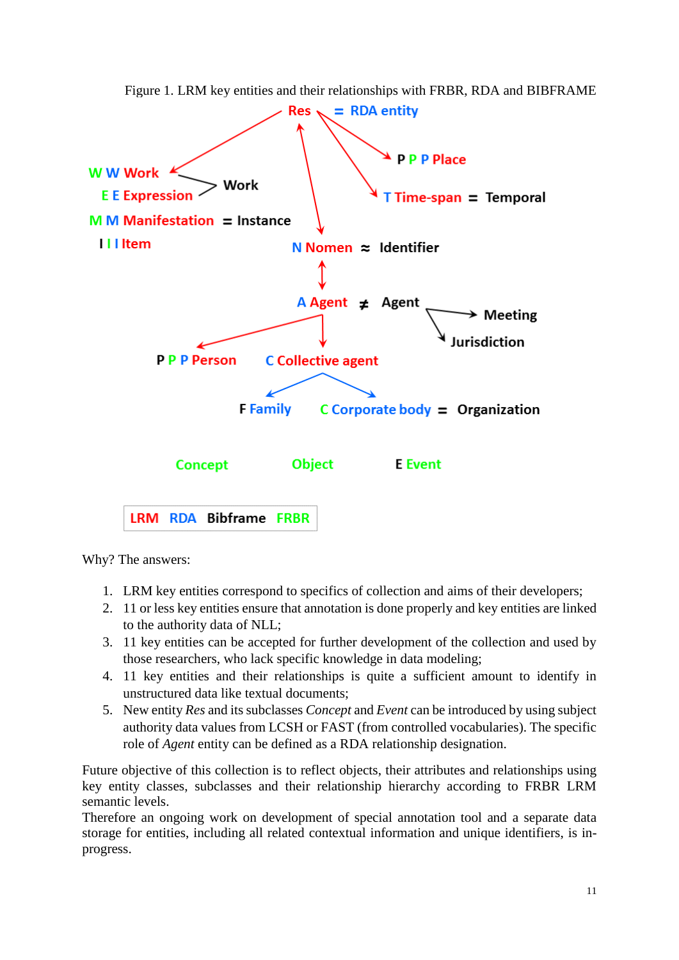

Figure 1. LRM key entities and their relationships with FRBR, RDA and BIBFRAME

Why? The answers:

- 1. LRM key entities correspond to specifics of collection and aims of their developers;
- 2. 11 or less key entities ensure that annotation is done properly and key entities are linked to the authority data of NLL;
- 3. 11 key entities can be accepted for further development of the collection and used by those researchers, who lack specific knowledge in data modeling;
- 4. 11 key entities and their relationships is quite a sufficient amount to identify in unstructured data like textual documents;
- 5. New entity *Res* and its subclasses *Concept* and *Event* can be introduced by using subject authority data values from LCSH or FAST (from controlled vocabularies). The specific role of *Agent* entity can be defined as a RDA relationship designation.

Future objective of this collection is to reflect objects, their attributes and relationships using key entity classes, subclasses and their relationship hierarchy according to FRBR LRM semantic levels.

Therefore an ongoing work on development of special annotation tool and a separate data storage for entities, including all related contextual information and unique identifiers, is inprogress.